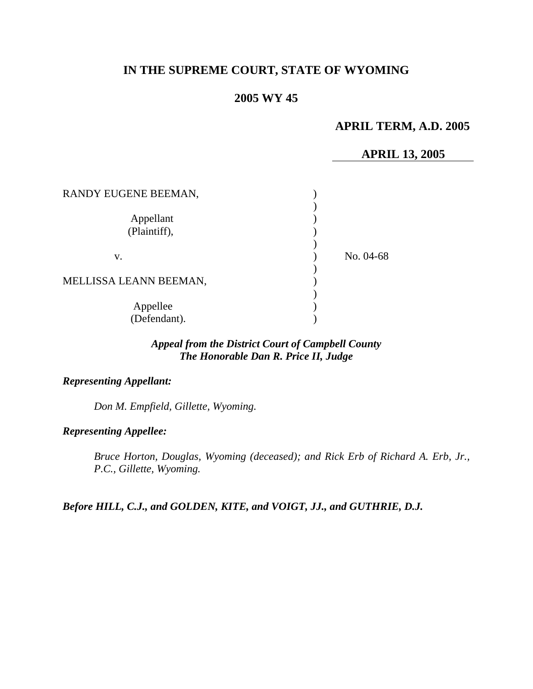# **IN THE SUPREME COURT, STATE OF WYOMING**

## **2005 WY 45**

# **APRIL TERM, A.D. 2005**

## **APRIL 13, 2005**

| RANDY EUGENE BEEMAN,      |           |
|---------------------------|-----------|
| Appellant<br>(Plaintiff), |           |
| V.                        | No. 04-68 |
| MELLISSA LEANN BEEMAN,    |           |
|                           |           |
|                           |           |
| Appellee<br>(Defendant).  |           |

# *Appeal from the District Court of Campbell County The Honorable Dan R. Price II, Judge*

## *Representing Appellant:*

*Don M. Empfield, Gillette, Wyoming.* 

*Representing Appellee:*

*Bruce Horton, Douglas, Wyoming (deceased); and Rick Erb of Richard A. Erb, Jr., P.C., Gillette, Wyoming.* 

*Before HILL, C.J., and GOLDEN, KITE, and VOIGT, JJ., and GUTHRIE, D.J.*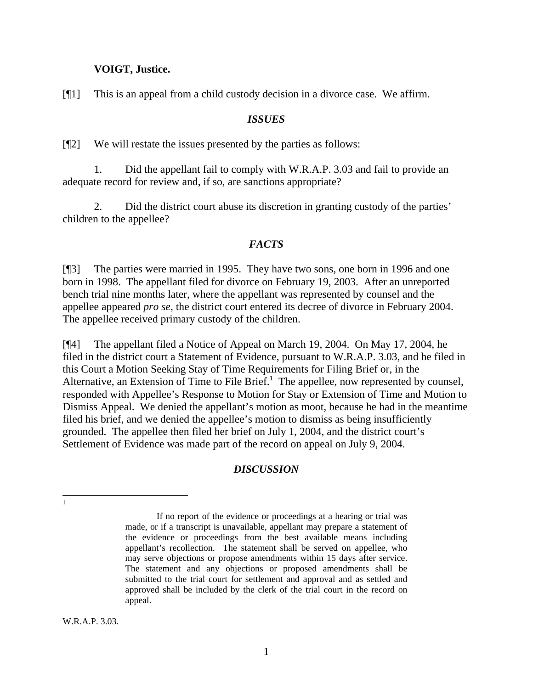#### **VOIGT, Justice.**

[¶1] This is an appeal from a child custody decision in a divorce case. We affirm.

#### *ISSUES*

[¶2] We will restate the issues presented by the parties as follows:

1. Did the appellant fail to comply with W.R.A.P. 3.03 and fail to provide an adequate record for review and, if so, are sanctions appropriate?

2. Did the district court abuse its discretion in granting custody of the parties' children to the appellee?

#### *FACTS*

[¶3] The parties were married in 1995. They have two sons, one born in 1996 and one born in 1998. The appellant filed for divorce on February 19, 2003. After an unreported bench trial nine months later, where the appellant was represented by counsel and the appellee appeared *pro se*, the district court entered its decree of divorce in February 2004. The appellee received primary custody of the children.

[¶4] The appellant filed a Notice of Appeal on March 19, 2004. On May 17, 2004, he filed in the district court a Statement of Evidence, pursuant to W.R.A.P. 3.03, and he filed in this Court a Motion Seeking Stay of Time Requirements for Filing Brief or, in the Alternative, an Extension of Time to File Brief.<sup>[1](#page-1-0)</sup> The appellee, now represented by counsel, responded with Appellee's Response to Motion for Stay or Extension of Time and Motion to Dismiss Appeal. We denied the appellant's motion as moot, because he had in the meantime filed his brief, and we denied the appellee's motion to dismiss as being insufficiently grounded. The appellee then filed her brief on July 1, 2004, and the district court's Settlement of Evidence was made part of the record on appeal on July 9, 2004.

### *DISCUSSION*

W.R.A.P. 3.03.

<span id="page-1-0"></span> $\frac{1}{1}$ 

If no report of the evidence or proceedings at a hearing or trial was made, or if a transcript is unavailable, appellant may prepare a statement of the evidence or proceedings from the best available means including appellant's recollection. The statement shall be served on appellee, who may serve objections or propose amendments within 15 days after service. The statement and any objections or proposed amendments shall be submitted to the trial court for settlement and approval and as settled and approved shall be included by the clerk of the trial court in the record on appeal.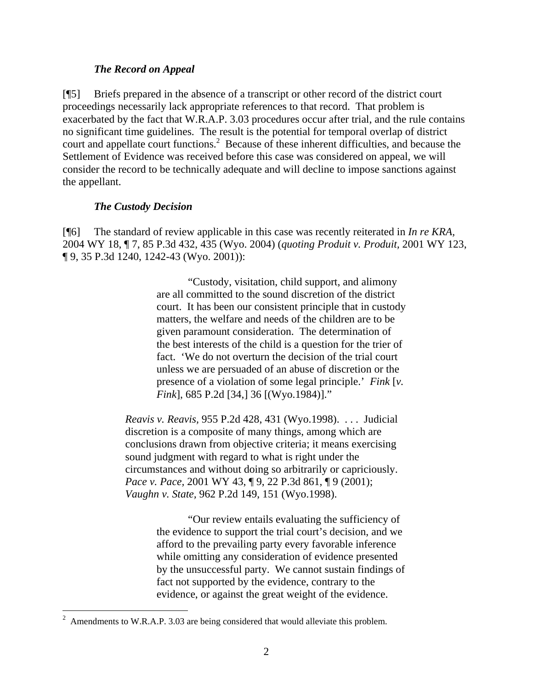### *The Record on Appeal*

[¶5] Briefs prepared in the absence of a transcript or other record of the district court proceedings necessarily lack appropriate references to that record. That problem is exacerbated by the fact that W.R.A.P. 3.03 procedures occur after trial, and the rule contains no significant time guidelines. The result is the potential for temporal overlap of district court and appellate court functions.<sup>[2](#page-2-0)</sup> Because of these inherent difficulties, and because the Settlement of Evidence was received before this case was considered on appeal, we will consider the record to be technically adequate and will decline to impose sanctions against the appellant.

## *The Custody Decision*

 $\overline{a}$ 

[¶6] The standard of review applicable in this case was recently reiterated in *In re KRA,*  2004 WY 18, ¶ 7, 85 P.3d 432, 435 (Wyo. 2004) (*quoting Produit v. Produit,* 2001 WY 123, ¶ 9, 35 P.3d 1240, 1242-43 (Wyo. 2001)):

> "Custody, visitation, child support, and alimony are all committed to the sound discretion of the district court. It has been our consistent principle that in custody matters, the welfare and needs of the children are to be given paramount consideration. The determination of the best interests of the child is a question for the trier of fact. 'We do not overturn the decision of the trial court unless we are persuaded of an abuse of discretion or the presence of a violation of some legal principle.' *Fink* [*v. Fink*], 685 P.2d [34,] 36 [(Wyo.1984)]."

*Reavis v. Reavis,* 955 P.2d 428, 431 (Wyo.1998). . . . Judicial discretion is a composite of many things, among which are conclusions drawn from objective criteria; it means exercising sound judgment with regard to what is right under the circumstances and without doing so arbitrarily or capriciously. *Pace v. Pace, 2001 WY 43,* [9, 22 P.3d 861, [9 (2001); *Vaughn v. State,* 962 P.2d 149, 151 (Wyo.1998).

> "Our review entails evaluating the sufficiency of the evidence to support the trial court's decision, and we afford to the prevailing party every favorable inference while omitting any consideration of evidence presented by the unsuccessful party. We cannot sustain findings of fact not supported by the evidence, contrary to the evidence, or against the great weight of the evidence.

<span id="page-2-0"></span><sup>2</sup> Amendments to W.R.A.P. 3.03 are being considered that would alleviate this problem.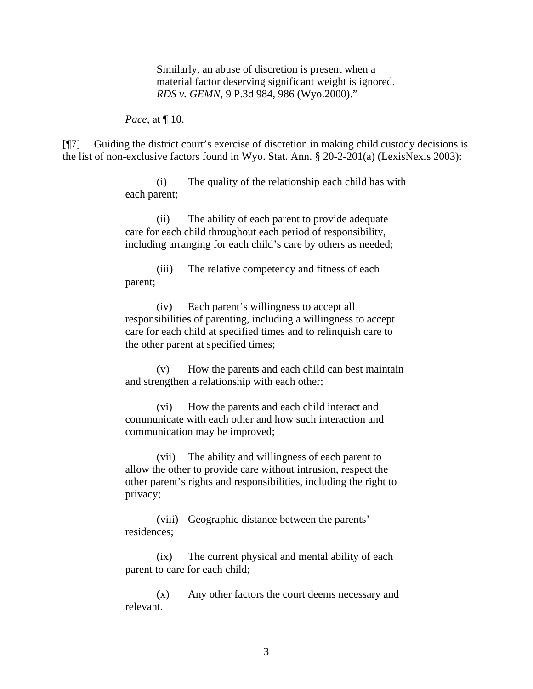Similarly, an abuse of discretion is present when a material factor deserving significant weight is ignored. *RDS v. GEMN,* 9 P.3d 984, 986 (Wyo.2000)."

*Pace*, at ¶ 10.

[¶7] Guiding the district court's exercise of discretion in making child custody decisions is the list of non-exclusive factors found in Wyo. Stat. Ann. § 20-2-201(a) (LexisNexis 2003):

> (i) The quality of the relationship each child has with each parent;

(ii) The ability of each parent to provide adequate care for each child throughout each period of responsibility, including arranging for each child's care by others as needed;

(iii) The relative competency and fitness of each parent;

(iv) Each parent's willingness to accept all responsibilities of parenting, including a willingness to accept care for each child at specified times and to relinquish care to the other parent at specified times;

(v) How the parents and each child can best maintain and strengthen a relationship with each other;

(vi) How the parents and each child interact and communicate with each other and how such interaction and communication may be improved;

(vii) The ability and willingness of each parent to allow the other to provide care without intrusion, respect the other parent's rights and responsibilities, including the right to privacy;

(viii) Geographic distance between the parents' residences;

(ix) The current physical and mental ability of each parent to care for each child;

(x) Any other factors the court deems necessary and relevant.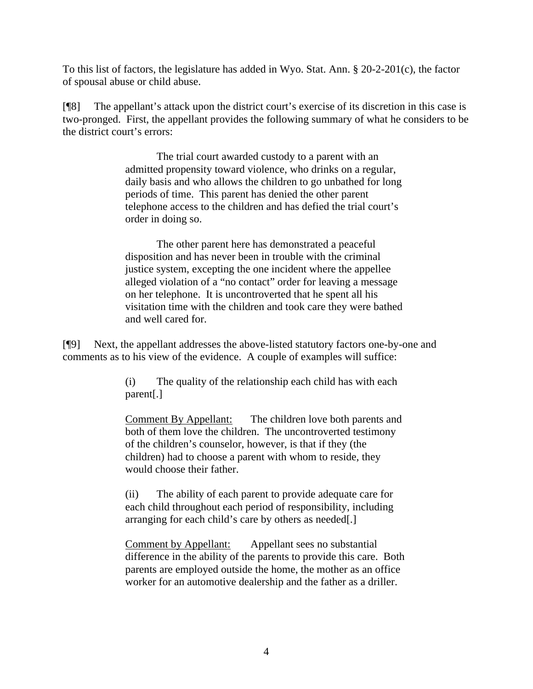To this list of factors, the legislature has added in Wyo. Stat. Ann. § 20-2-201(c), the factor of spousal abuse or child abuse.

[¶8] The appellant's attack upon the district court's exercise of its discretion in this case is two-pronged. First, the appellant provides the following summary of what he considers to be the district court's errors:

> The trial court awarded custody to a parent with an admitted propensity toward violence, who drinks on a regular, daily basis and who allows the children to go unbathed for long periods of time. This parent has denied the other parent telephone access to the children and has defied the trial court's order in doing so.

> The other parent here has demonstrated a peaceful disposition and has never been in trouble with the criminal justice system, excepting the one incident where the appellee alleged violation of a "no contact" order for leaving a message on her telephone. It is uncontroverted that he spent all his visitation time with the children and took care they were bathed and well cared for.

[¶9] Next, the appellant addresses the above-listed statutory factors one-by-one and comments as to his view of the evidence. A couple of examples will suffice:

> (i) The quality of the relationship each child has with each parent[.]

Comment By Appellant: The children love both parents and both of them love the children. The uncontroverted testimony of the children's counselor, however, is that if they (the children) had to choose a parent with whom to reside, they would choose their father.

(ii) The ability of each parent to provide adequate care for each child throughout each period of responsibility, including arranging for each child's care by others as needed[.]

Comment by Appellant: Appellant sees no substantial difference in the ability of the parents to provide this care. Both parents are employed outside the home, the mother as an office worker for an automotive dealership and the father as a driller.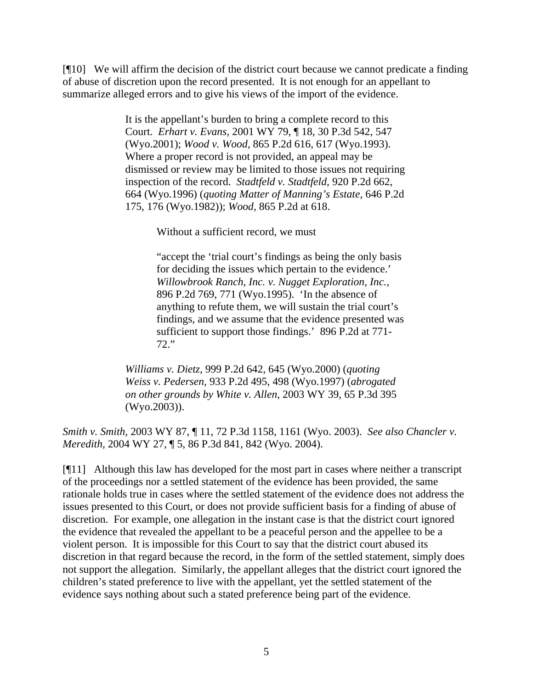[¶10] We will affirm the decision of the district court because we cannot predicate a finding of abuse of discretion upon the record presented. It is not enough for an appellant to summarize alleged errors and to give his views of the import of the evidence.

> It is the appellant's burden to bring a complete record to this Court. *Erhart v. Evans,* 2001 WY 79, ¶ 18, 30 P.3d 542, 547 (Wyo.2001); *Wood v. Wood,* 865 P.2d 616, 617 (Wyo.1993). Where a proper record is not provided, an appeal may be dismissed or review may be limited to those issues not requiring inspection of the record. *Stadtfeld v. Stadtfeld,* 920 P.2d 662, 664 (Wyo.1996) (*quoting Matter of Manning's Estate,* 646 P.2d 175, 176 (Wyo.1982)); *Wood,* 865 P.2d at 618.

> > Without a sufficient record, we must

"accept the 'trial court's findings as being the only basis for deciding the issues which pertain to the evidence.' *Willowbrook Ranch, Inc. v. Nugget Exploration, Inc.,*  896 P.2d 769, 771 (Wyo.1995). 'In the absence of anything to refute them, we will sustain the trial court's findings, and we assume that the evidence presented was sufficient to support those findings.' 896 P.2d at 771- 72."

*Williams v. Dietz,* 999 P.2d 642, 645 (Wyo.2000) (*quoting Weiss v. Pedersen,* 933 P.2d 495, 498 (Wyo.1997) (*abrogated on other grounds by White v. Allen,* 2003 WY 39, 65 P.3d 395 (Wyo.2003)).

*Smith v. Smith,* 2003 WY 87, ¶ 11, 72 P.3d 1158, 1161 (Wyo. 2003). *See also Chancler v. Meredith,* 2004 WY 27, ¶ 5, 86 P.3d 841, 842 (Wyo. 2004).

[¶11] Although this law has developed for the most part in cases where neither a transcript of the proceedings nor a settled statement of the evidence has been provided, the same rationale holds true in cases where the settled statement of the evidence does not address the issues presented to this Court, or does not provide sufficient basis for a finding of abuse of discretion. For example, one allegation in the instant case is that the district court ignored the evidence that revealed the appellant to be a peaceful person and the appellee to be a violent person. It is impossible for this Court to say that the district court abused its discretion in that regard because the record, in the form of the settled statement, simply does not support the allegation. Similarly, the appellant alleges that the district court ignored the children's stated preference to live with the appellant, yet the settled statement of the evidence says nothing about such a stated preference being part of the evidence.